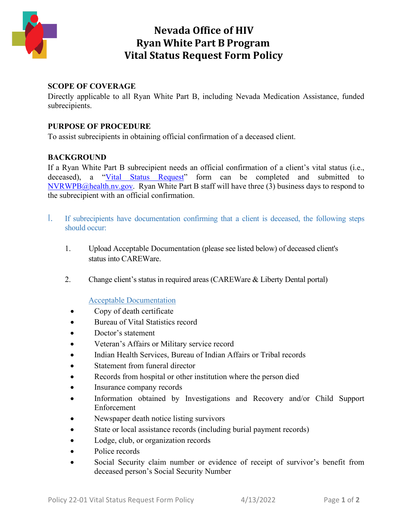

## **Nevada Office of HIV Ryan White Part B Program Vital Status Request Form Policy**

### **SCOPE OF COVERAGE**

Directly applicable to all Ryan White Part B, including Nevada Medication Assistance, funded subrecipients.

#### **PURPOSE OF PROCEDURE**

To assist subrecipients in obtaining official confirmation of a deceased client.

### **BACKGROUND**

If a Ryan White Part B subrecipient needs an official confirmation of a client's vital status (i.e., deceased), a ["Vital Status Request"](https://endhivnevada.org/wp-content/uploads/2022/04/Vital-Request-Form-1.pdf) form can be completed and submitted to [NVRWPB@health.nv.gov.](mailto:NVRWPB@health.nv.gov) Ryan White Part B staff will have three (3) business days to respond to the subrecipient with an official confirmation.

- I. If subrecipients have documentation confirming that a client is deceased, the following steps should occur:
	- 1. Upload Acceptable Documentation (please see listed below) of deceased client's status into CAREWare.
	- 2. Change client's status in required areas (CAREWare & Liberty Dental portal)

#### Acceptable Documentation

- Copy of death certificate
- Bureau of Vital Statistics record
- Doctor's statement
- Veteran's Affairs or Military service record
- Indian Health Services, Bureau of Indian Affairs or Tribal records
- Statement from funeral director
- Records from hospital or other institution where the person died
- Insurance company records
- Information obtained by Investigations and Recovery and/or Child Support Enforcement
- Newspaper death notice listing survivors
- State or local assistance records (including burial payment records)
- Lodge, club, or organization records
- Police records
- Social Security claim number or evidence of receipt of survivor's benefit from deceased person's Social Security Number